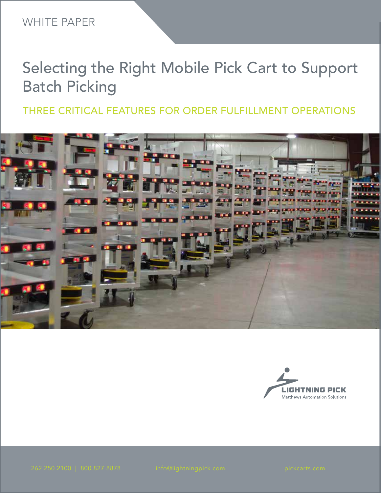# THREE CRITICAL FEATURES FOR ORDER FULFILLMENT OPERATIONS



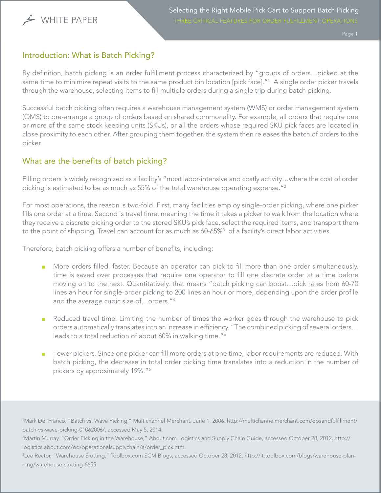

# Introduction: What is Batch Picking?

By definition, batch picking is an order fulfillment process characterized by "groups of orders…picked at the same time to minimize repeat visits to the same product bin location [pick face]."1 A single order picker travels through the warehouse, selecting items to fill multiple orders during a single trip during batch picking.

Successful batch picking often requires a warehouse management system (WMS) or order management system (OMS) to pre-arrange a group of orders based on shared commonality. For example, all orders that require one or more of the same stock keeping units (SKUs), or all the orders whose required SKU pick faces are located in close proximity to each other. After grouping them together, the system then releases the batch of orders to the picker.

# What are the benefits of batch picking?

Filling orders is widely recognized as a facility's "most labor-intensive and costly activity…where the cost of order picking is estimated to be as much as 55% of the total warehouse operating expense."2

For most operations, the reason is two-fold. First, many facilities employ single-order picking, where one picker fills one order at a time. Second is travel time, meaning the time it takes a picker to walk from the location where they receive a discrete picking order to the stored SKU's pick face, select the required items, and transport them to the point of shipping. Travel can account for as much as 60-65% $^3\,$  of a facility's direct labor activities.

Therefore, batch picking offers a number of benefits, including:

- More orders filled, faster. Because an operator can pick to fill more than one order simultaneously, time is saved over processes that require one operator to fill one discrete order at a time before moving on to the next. Quantitatively, that means "batch picking can boost…pick rates from 60-70 lines an hour for single-order picking to 200 lines an hour or more, depending upon the order profile and the average cubic size of…orders."4
- Reduced travel time. Limiting the number of times the worker goes through the warehouse to pick orders automatically translates into an increase in efficiency. "The combined picking of several orders… leads to a total reduction of about 60% in walking time."5
- Fewer pickers. Since one picker can fill more orders at one time, labor requirements are reduced. With batch picking, the decrease in total order picking time translates into a reduction in the number of pickers by approximately 19%."6

1 Mark Del Franco, "Batch vs. Wave Picking," Multichannel Merchant, June 1, 2006, http://multichannelmerchant.com/opsandfulfillment/ batch-vs-wave-picking-01062006/, accessed May 5, 2014.

2 Martin Murray, "Order Picking in the Warehouse," About.com Logistics and Supply Chain Guide, accessed October 28, 2012, http:// logistics.about.com/od/operationalsupplychain/a/order\_pick.htm.

3 Lee Rector, "Warehouse Slotting," Toolbox.com SCM Blogs, accessed October 28, 2012, http://it.toolbox.com/blogs/warehouse-planning/warehouse-slotting-6655.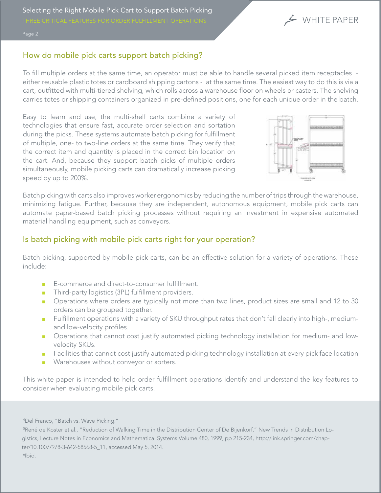

#### How do mobile pick carts support batch picking?

To fill multiple orders at the same time, an operator must be able to handle several picked item receptacles either reusable plastic totes or cardboard shipping cartons - at the same time. The easiest way to do this is via a cart, outfitted with multi-tiered shelving, which rolls across a warehouse floor on wheels or casters. The shelving carries totes or shipping containers organized in pre-defined positions, one for each unique order in the batch.

Easy to learn and use, the multi-shelf carts combine a variety of technologies that ensure fast, accurate order selection and sortation during the picks. These systems automate batch picking for fulfillment of multiple, one- to two-line orders at the same time. They verify that the correct item and quantity is placed in the correct bin location on the cart. And, because they support batch picks of multiple orders simultaneously, mobile picking carts can dramatically increase picking speed by up to 200%.



Batch picking with carts also improves worker ergonomics by reducing the number of trips through the warehouse, minimizing fatigue. Further, because they are independent, autonomous equipment, mobile pick carts can automate paper-based batch picking processes without requiring an investment in expensive automated material handling equipment, such as conveyors.

### Is batch picking with mobile pick carts right for your operation?

Batch picking, supported by mobile pick carts, can be an effective solution for a variety of operations. These include:

- E-commerce and direct-to-consumer fulfillment.
- Third-party logistics (3PL) fulfillment providers.
- Operations where orders are typically not more than two lines, product sizes are small and 12 to 30 orders can be grouped together.
- Fulfillment operations with a variety of SKU throughput rates that don't fall clearly into high-, mediumand low-velocity profiles.
- Operations that cannot cost justify automated picking technology installation for medium- and lowvelocity SKUs.
- Facilities that cannot cost justify automated picking technology installation at every pick face location
- Warehouses without conveyor or sorters.

This white paper is intended to help order fulfillment operations identify and understand the key features to consider when evaluating mobile pick carts.

4 Del Franco, "Batch vs. Wave Picking."

5 René de Koster et al., "Reduction of Walking Time in the Distribution Center of De Bijenkorf," New Trends in Distribution Logistics, Lecture Notes in Economics and Mathematical Systems Volume 480, 1999, pp 215-234, http://link.springer.com/chapter/10.1007/978-3-642-58568-5\_11, accessed May 5, 2014. 6 Ibid.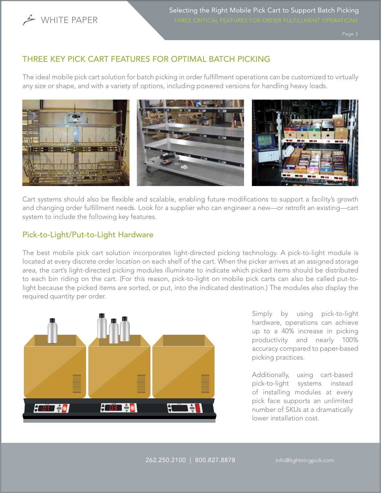

# THREE KEY PICK CART FEATURES FOR OPTIMAL BATCH PICKING

The ideal mobile pick cart solution for batch picking in order fulfillment operations can be customized to virtually any size or shape, and with a variety of options, including powered versions for handling heavy loads.



Cart systems should also be flexible and scalable, enabling future modifications to support a facility's growth and changing order fulfillment needs. Look for a supplier who can engineer a new—or retrofit an existing—cart system to include the following key features.

# Pick-to-Light/Put-to-Light Hardware

The best mobile pick cart solution incorporates light-directed picking technology. A pick-to-light module is located at every discrete order location on each shelf of the cart. When the picker arrives at an assigned storage area, the cart's light-directed picking modules illuminate to indicate which picked items should be distributed to each bin riding on the cart. (For this reason, pick-to-light on mobile pick carts can also be called put-tolight because the picked items are sorted, or put, into the indicated destination.) The modules also display the required quantity per order.



Simply by using pick-to-light hardware, operations can achieve up to a 40% increase in picking productivity and nearly 100% accuracy compared to paper-based picking practices.

Additionally, using cart-based pick-to-light systems instead of installing modules at every pick face supports an unlimited number of SKUs at a dramatically lower installation cost.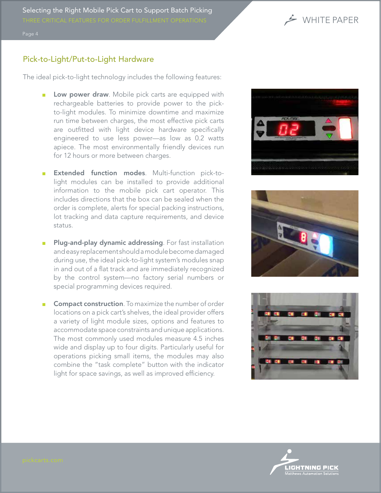

## Pick-to-Light/Put-to-Light Hardware

The ideal pick-to-light technology includes the following features:

- Low power draw. Mobile pick carts are equipped with rechargeable batteries to provide power to the pickto-light modules. To minimize downtime and maximize run time between charges, the most effective pick carts are outfitted with light device hardware specifically engineered to use less power—as low as 0.2 watts apiece. The most environmentally friendly devices run for 12 hours or more between charges.
- **Extended function modes.** Multi-function pick-tolight modules can be installed to provide additional information to the mobile pick cart operator. This includes directions that the box can be sealed when the order is complete, alerts for special packing instructions, lot tracking and data capture requirements, and device status.
- Plug-and-play dynamic addressing. For fast installation and easy replacement should a module become damaged during use, the ideal pick-to-light system's modules snap in and out of a flat track and are immediately recognized by the control system—no factory serial numbers or special programming devices required.
- Compact construction. To maximize the number of order locations on a pick cart's shelves, the ideal provider offers a variety of light module sizes, options and features to accommodate space constraints and unique applications. The most commonly used modules measure 4.5 inches wide and display up to four digits. Particularly useful for operations picking small items, the modules may also combine the "task complete" button with the indicator light for space savings, as well as improved efficiency.







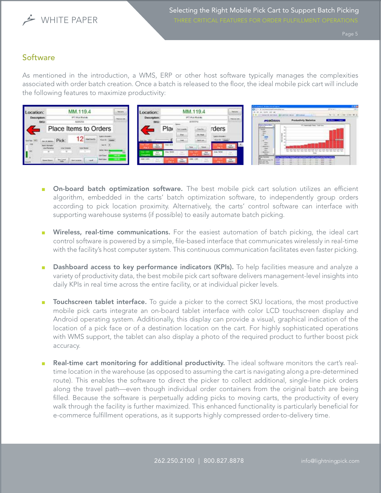

# **Software**

As mentioned in the introduction, a WMS, ERP or other host software typically manages the complexities associated with order batch creation. Once a batch is released to the floor, the ideal mobile pick cart will include the following features to maximize productivity:

| Location:           |       | MM.119.4<br>IPS Pointhable<br>A001004 |            | <b>SHUH</b>        | Location:    |                           | MM.119.4                           |                                         |       | <b>Secure</b>      | candonal devices into an ingenio<br><b>ENGIN-</b><br>Contractoral Contractor<br><b>W. John Miller H. McPrible</b> |                             |  |
|---------------------|-------|---------------------------------------|------------|--------------------|--------------|---------------------------|------------------------------------|-----------------------------------------|-------|--------------------|-------------------------------------------------------------------------------------------------------------------|-----------------------------|--|
| Description:<br>SKU |       |                                       |            | <b>Sales Links</b> | Description: |                           | IRT: Post Module<br><b>AUDITUR</b> |                                         |       | <b>Carried Law</b> | Productivity Statistics<br><b>PODINTIN</b><br><b>Bandon</b>                                                       |                             |  |
|                     |       | Place Items to Orders                 |            |                    |              | Pla                       |                                    |                                         | rders |                    | ------<br><b>PERMIT</b><br>÷.                                                                                     | 77 Sandally Trees Townships |  |
|                     | Pick: |                                       |            |                    |              |                           | 3m                                 |                                         |       |                    |                                                                                                                   |                             |  |
|                     |       |                                       | 1474C 3R.F |                    |              | <b>COLL</b>               |                                    | <b>Sec</b><br><b>Carrol</b>             |       |                    |                                                                                                                   |                             |  |
|                     |       |                                       | son line.  |                    |              | <b>Side Willis</b><br>FLE |                                    | $\frac{P_{\text{obs}}}{P_{\text{obs}}}$ |       |                    | <b>Tekel Series</b>                                                                                               |                             |  |
|                     |       | <b>Bellington</b>                     | Fed Sake   |                    |              |                           | dillo-                             |                                         |       | Tua.               |                                                                                                                   |                             |  |

- **On-board batch optimization software.** The best mobile pick cart solution utilizes an efficient algorithm, embedded in the carts' batch optimization software, to independently group orders according to pick location proximity. Alternatively, the carts' control software can interface with supporting warehouse systems (if possible) to easily automate batch picking.
- **Wireless, real-time communications.** For the easiest automation of batch picking, the ideal cart control software is powered by a simple, file-based interface that communicates wirelessly in real-time with the facility's host computer system. This continuous communication facilitates even faster picking.
- Dashboard access to key performance indicators (KPIs). To help facilities measure and analyze a variety of productivity data, the best mobile pick cart software delivers management-level insights into daily KPIs in real time across the entire facility, or at individual picker levels.
- Touchscreen tablet interface. To quide a picker to the correct SKU locations, the most productive mobile pick carts integrate an on-board tablet interface with color LCD touchscreen display and Android operating system. Additionally, this display can provide a visual, graphical indication of the location of a pick face or of a destination location on the cart. For highly sophisticated operations with WMS support, the tablet can also display a photo of the required product to further boost pick accuracy.
- Real-time cart monitoring for additional productivity. The ideal software monitors the cart's realtime location in the warehouse (as opposed to assuming the cart is navigating along a pre-determined route). This enables the software to direct the picker to collect additional, single-line pick orders along the travel path—even though individual order containers from the original batch are being filled. Because the software is perpetually adding picks to moving carts, the productivity of every walk through the facility is further maximized. This enhanced functionality is particularly beneficial for e-commerce fulfillment operations, as it supports highly compressed order-to-delivery time.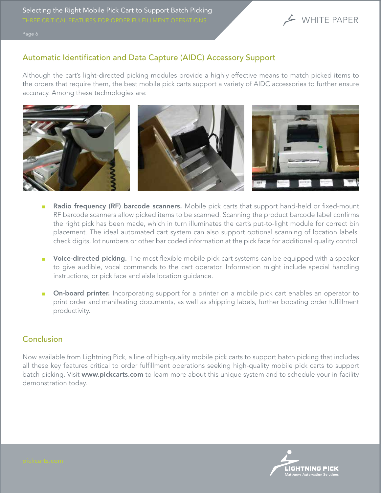

# Automatic Identification and Data Capture (AIDC) Accessory Support

Although the cart's light-directed picking modules provide a highly effective means to match picked items to the orders that require them, the best mobile pick carts support a variety of AIDC accessories to further ensure accuracy. Among these technologies are:



- Radio frequency (RF) barcode scanners. Mobile pick carts that support hand-held or fixed-mount RF barcode scanners allow picked items to be scanned. Scanning the product barcode label confirms the right pick has been made, which in turn illuminates the cart's put-to-light module for correct bin placement. The ideal automated cart system can also support optional scanning of location labels, check digits, lot numbers or other bar coded information at the pick face for additional quality control.
- Voice-directed picking. The most flexible mobile pick cart systems can be equipped with a speaker to give audible, vocal commands to the cart operator. Information might include special handling instructions, or pick face and aisle location guidance.
- On-board printer. Incorporating support for a printer on a mobile pick cart enables an operator to print order and manifesting documents, as well as shipping labels, further boosting order fulfillment productivity.

### Conclusion

Now available from Lightning Pick, a line of high-quality mobile pick carts to support batch picking that includes all these key features critical to order fulfillment operations seeking high-quality mobile pick carts to support batch picking. Visit www.pickcarts.com to learn more about this unique system and to schedule your in-facility demonstration today.